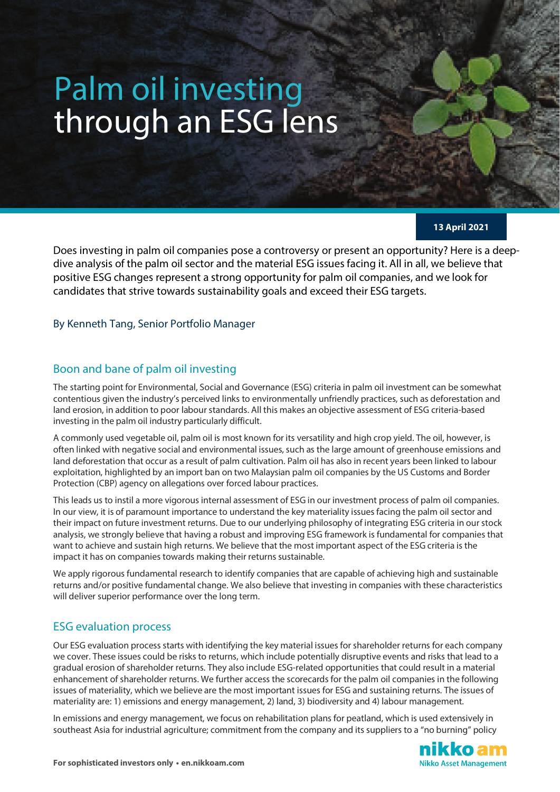# Palm oil investing through an ESG lens

#### **13 April 2021**

Does investing in palm oil companies pose a controversy or present an opportunity? Here is a deepdive analysis of the palm oil sector and the material ESG issues facing it. All in all, we believe that positive ESG changes represent a strong opportunity for palm oil companies, and we look for candidates that strive towards sustainability goals and exceed their ESG targets.

## By Kenneth Tang, Senior Portfolio Manager

# Boon and bane of palm oil investing

The starting point for Environmental, Social and Governance (ESG) criteria in palm oil investment can be somewhat contentious given the industry's perceived links to environmentally unfriendly practices, such as deforestation and land erosion, in addition to poor labour standards. All this makes an objective assessment of ESG criteria-based investing in the palm oil industry particularly difficult.

A commonly used vegetable oil, palm oil is most known for its versatility and high crop yield. The oil, however, is often linked with negative social and environmental issues, such as the large amount of greenhouse emissions and land deforestation that occur as a result of palm cultivation. Palm oil has also in recent years been linked to labour exploitation, highlighted by an import ban on two Malaysian palm oil companies by the US Customs and Border Protection (CBP) agency on allegations over forced labour practices.

This leads us to instil a more vigorous internal assessment of ESG in our investment process of palm oil companies. In our view, it is of paramount importance to understand the key materiality issues facing the palm oil sector and their impact on future investment returns. Due to our underlying philosophy of integrating ESG criteria in ourstock analysis, we strongly believe that having a robust and improving ESG framework is fundamental for companies that want to achieve and sustain high returns. We believe that the most important aspect of the ESG criteria is the impact it has on companies towards making their returns sustainable.

We apply rigorous fundamental research to identify companies that are capable of achieving high and sustainable returns and/or positive fundamental change. We also believe that investing in companies with these characteristics will deliver superior performance over the long term.

# ESG evaluation process

Our ESG evaluation process starts with identifying the key material issues for shareholder returns for each company we cover. These issues could be risks to returns, which include potentially disruptive events and risks that lead to a gradual erosion of shareholder returns. They also include ESG-related opportunities that could result in a material enhancement of shareholder returns. We further access the scorecards for the palm oil companies in the following issues of materiality, which we believe are the most important issues for ESG and sustaining returns. The issues of materiality are: 1) emissions and energy management, 2) land, 3) biodiversity and 4) labour management.

In emissions and energy management, we focus on rehabilitation plans for peatland, which is used extensively in southeast Asia for industrial agriculture; commitment from the company and its suppliers to a "no burning" policy

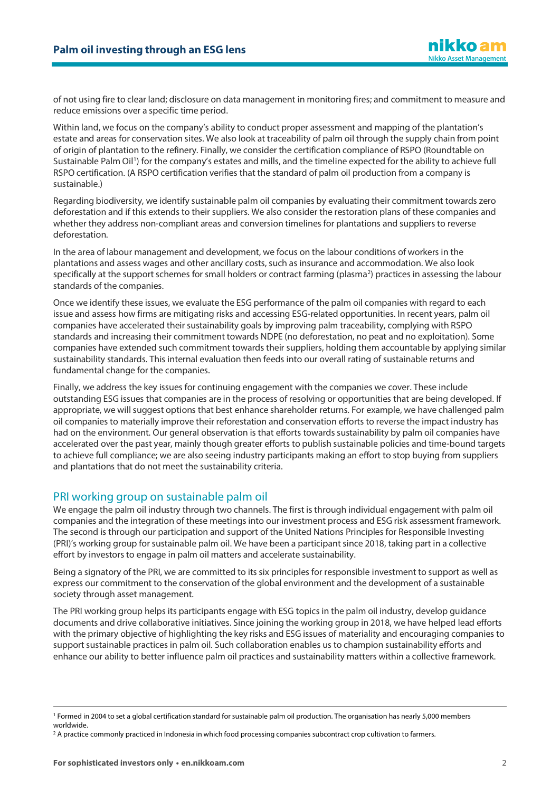of not using fire to clear land; disclosure on data management in monitoring fires; and commitment to measure and reduce emissions over a specific time period.

Within land, we focus on the company's ability to conduct proper assessment and mapping of the plantation's estate and areas for conservation sites. We also look at traceability of palm oil through the supply chain from point of origin of plantation to the refinery. Finally, we consider the certification compliance of RSPO (Roundtable on Sustainable Palm Oil<sup>[1](#page-1-0)</sup>) for the company's estates and mills, and the timeline expected for the ability to achieve full RSPO certification. (A RSPO certification verifies that the standard of palm oil production from a company is sustainable.)

Regarding biodiversity, we identify sustainable palm oil companies by evaluating their commitment towards zero deforestation and if this extends to their suppliers. We also consider the restoration plans of these companies and whether they address non-compliant areas and conversion timelines for plantations and suppliers to reverse deforestation.

In the area of labour management and development, we focus on the labour conditions of workers in the plantations and assess wages and other ancillary costs, such as insurance and accommodation. We also look specifically at the support schemes for small holders or contract farming (plasma<sup>[2](#page-1-1)</sup>) practices in assessing the labour standards of the companies.

Once we identify these issues, we evaluate the ESG performance of the palm oil companies with regard to each issue and assess how firms are mitigating risks and accessing ESG-related opportunities. In recent years, palm oil companies have accelerated their sustainability goals by improving palm traceability, complying with RSPO standards and increasing their commitment towards NDPE (no deforestation, no peat and no exploitation). Some companies have extended such commitment towards their suppliers, holding them accountable by applying similar sustainability standards. This internal evaluation then feeds into our overall rating of sustainable returns and fundamental change for the companies.

Finally, we address the key issues for continuing engagement with the companies we cover. These include outstanding ESG issues that companies are in the process of resolving or opportunities that are being developed. If appropriate, we will suggest options that best enhance shareholder returns. For example, we have challenged palm oil companies to materially improve their reforestation and conservation efforts to reverse the impact industry has had on the environment. Our general observation is that efforts towards sustainability by palm oil companies have accelerated over the past year, mainly though greater efforts to publish sustainable policies and time-bound targets to achieve full compliance; we are also seeing industry participants making an effort to stop buying from suppliers and plantations that do not meet the sustainability criteria.

#### PRI working group on sustainable palm oil

We engage the palm oil industry through two channels. The first is through individual engagement with palm oil companies and the integration of these meetings into our investment process and ESG risk assessment framework. The second is through our participation and support of the United Nations Principles for Responsible Investing (PRI)'s working group for sustainable palm oil. We have been a participant since 2018, taking part in a collective effort by investors to engage in palm oil matters and accelerate sustainability.

Being a signatory of the PRI, we are committed to its six principles for responsible investment to support as well as express our commitment to the conservation of the global environment and the development of a sustainable society through asset management.

The PRI working group helps its participants engage with ESG topics in the palm oil industry, develop guidance documents and drive collaborative initiatives. Since joining the working group in 2018, we have helped lead efforts with the primary objective of highlighting the key risks and ESG issues of materiality and encouraging companies to support sustainable practices in palm oil. Such collaboration enables us to champion sustainability efforts and enhance our ability to better influence palm oil practices and sustainability matters within a collective framework.

<span id="page-1-0"></span><sup>1</sup> Formed in 2004 to set a global certification standard for sustainable palm oil production. The organisation has nearly 5,000 members worldwide.

<span id="page-1-1"></span><sup>&</sup>lt;sup>2</sup> A practice commonly practiced in Indonesia in which food processing companies subcontract crop cultivation to farmers.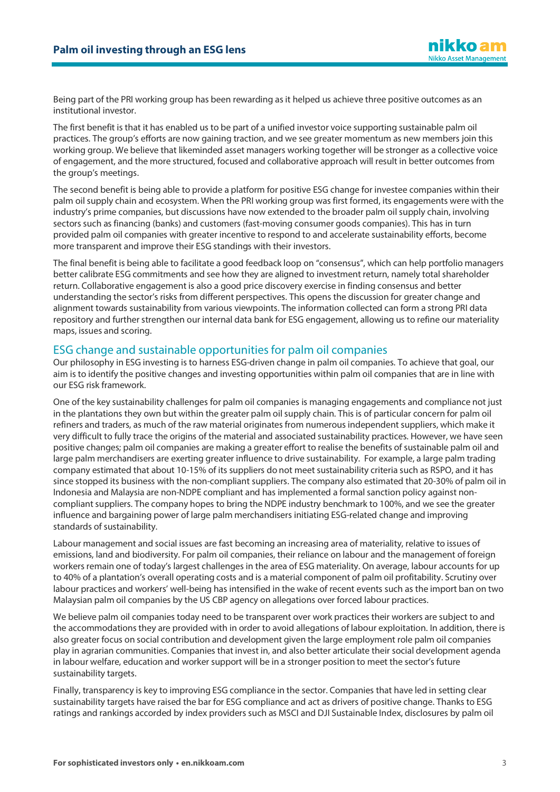Being part of the PRI working group has been rewarding as it helped us achieve three positive outcomes as an institutional investor.

The first benefit is that it has enabled us to be part of a unified investor voice supporting sustainable palm oil practices. The group's efforts are now gaining traction, and we see greater momentum as new members join this working group. We believe that likeminded asset managers working together will be stronger as a collective voice of engagement, and the more structured, focused and collaborative approach will result in better outcomes from the group's meetings.

The second benefit is being able to provide a platform for positive ESG change for investee companies within their palm oil supply chain and ecosystem. When the PRI working group was first formed, its engagements were with the industry's prime companies, but discussions have now extended to the broader palm oil supply chain, involving sectors such as financing (banks) and customers (fast-moving consumer goods companies). This has in turn provided palm oil companies with greater incentive to respond to and accelerate sustainability efforts, become more transparent and improve their ESG standings with their investors.

The final benefit is being able to facilitate a good feedback loop on "consensus", which can help portfolio managers better calibrate ESG commitments and see how they are aligned to investment return, namely total shareholder return. Collaborative engagement is also a good price discovery exercise in finding consensus and better understanding the sector's risks from different perspectives. This opens the discussion for greater change and alignment towards sustainability from various viewpoints. The information collected can form a strong PRI data repository and further strengthen our internal data bank for ESG engagement, allowing us to refine our materiality maps, issues and scoring.

## ESG change and sustainable opportunities for palm oil companies

Our philosophy in ESG investing is to harness ESG-driven change in palm oil companies. To achieve that goal, our aim is to identify the positive changes and investing opportunities within palm oil companies that are in line with our ESG risk framework.

One of the key sustainability challenges for palm oil companies is managing engagements and compliance not just in the plantations they own but within the greater palm oil supply chain. This is of particular concern for palm oil refiners and traders, as much of the raw material originates from numerous independent suppliers, which make it very difficult to fully trace the origins of the material and associated sustainability practices. However, we have seen positive changes; palm oil companies are making a greater effort to realise the benefits of sustainable palm oil and large palm merchandisers are exerting greater influence to drive sustainability. For example, a large palm trading company estimated that about 10-15% of its suppliers do not meet sustainability criteria such as RSPO, and it has since stopped its business with the non-compliant suppliers. The company also estimated that 20-30% of palm oil in Indonesia and Malaysia are non-NDPE compliant and has implemented a formal sanction policy against noncompliant suppliers. The company hopes to bring the NDPE industry benchmark to 100%, and we see the greater influence and bargaining power of large palm merchandisers initiating ESG-related change and improving standards of sustainability.

Labour management and social issues are fast becoming an increasing area of materiality, relative to issues of emissions, land and biodiversity. For palm oil companies, their reliance on labour and the management of foreign workers remain one of today's largest challenges in the area of ESG materiality. On average, labour accounts for up to 40% of a plantation's overall operating costs and is a material component of palm oil profitability. Scrutiny over labour practices and workers' well-being has intensified in the wake of recent events such as the import ban on two Malaysian palm oil companies by the US CBP agency on allegations over forced labour practices.

We believe palm oil companies today need to be transparent over work practices their workers are subject to and the accommodations they are provided with in order to avoid allegations of labour exploitation. In addition, there is also greater focus on social contribution and development given the large employment role palm oil companies play in agrarian communities. Companies that invest in, and also better articulate their social development agenda in labour welfare, education and worker support will be in a stronger position to meet the sector's future sustainability targets.

Finally, transparency is key to improving ESG compliance in the sector. Companies that have led in setting clear sustainability targets have raised the bar for ESG compliance and act as drivers of positive change. Thanks to ESG ratings and rankings accorded by index providers such as MSCI and DJI Sustainable Index, disclosures by palm oil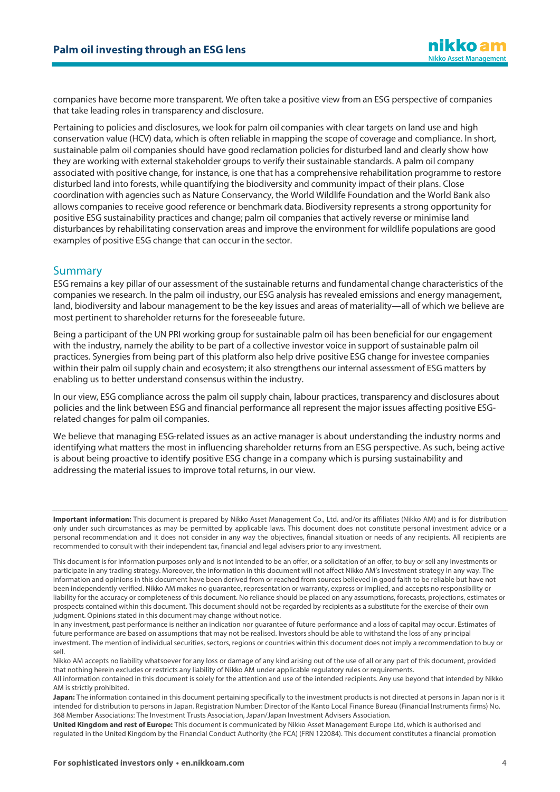companies have become more transparent. We often take a positive view from an ESG perspective of companies that take leading roles in transparency and disclosure.

Pertaining to policies and disclosures, we look for palm oil companies with clear targets on land use and high conservation value (HCV) data, which is often reliable in mapping the scope of coverage and compliance. In short, sustainable palm oil companies should have good reclamation policies for disturbed land and clearly show how they are working with external stakeholder groups to verify their sustainable standards. A palm oil company associated with positive change, for instance, is one that has a comprehensive rehabilitation programme to restore disturbed land into forests, while quantifying the biodiversity and community impact of their plans. Close coordination with agencies such as Nature Conservancy, the World Wildlife Foundation and the World Bank also allows companies to receive good reference or benchmark data. Biodiversity represents a strong opportunity for positive ESG sustainability practices and change; palm oil companies that actively reverse or minimise land disturbances by rehabilitating conservation areas and improve the environment for wildlife populations are good examples of positive ESG change that can occur in the sector.

## Summary

ESG remains a key pillar of our assessment of the sustainable returns and fundamental change characteristics of the companies we research. In the palm oil industry, our ESG analysis has revealed emissions and energy management, land, biodiversity and labour management to be the key issues and areas of materiality—all of which we believe are most pertinent to shareholder returns for the foreseeable future.

Being a participant of the UN PRI working group for sustainable palm oil has been beneficial for our engagement with the industry, namely the ability to be part of a collective investor voice in support of sustainable palm oil practices. Synergies from being part of this platform also help drive positive ESG change for investee companies within their palm oil supply chain and ecosystem; it also strengthens our internal assessment of ESG matters by enabling us to better understand consensus within the industry.

In our view, ESG compliance across the palm oil supply chain, labour practices, transparency and disclosures about policies and the link between ESG and financial performance all represent the major issues affecting positive ESGrelated changes for palm oil companies.

We believe that managing ESG-related issues as an active manager is about understanding the industry norms and identifying what matters the most in influencing shareholder returns from an ESG perspective. As such, being active is about being proactive to identify positive ESG change in a company which is pursing sustainability and addressing the material issues to improve total returns, in our view.

**Important information:** This document is prepared by Nikko Asset Management Co., Ltd. and/or its affiliates (Nikko AM) and is for distribution only under such circumstances as may be permitted by applicable laws. This document does not constitute personal investment advice or a personal recommendation and it does not consider in any way the objectives, financial situation or needs of any recipients. All recipients are recommended to consult with their independent tax, financial and legal advisers prior to any investment.

This document is for information purposes only and is not intended to be an offer, or a solicitation of an offer, to buy or sell any investments or participate in any trading strategy. Moreover, the information in this document will not affect Nikko AM's investment strategy in any way. The information and opinions in this document have been derived from or reached from sources believed in good faith to be reliable but have not been independently verified. Nikko AM makes no guarantee, representation or warranty, express or implied, and accepts no responsibility or liability for the accuracy or completeness of this document. No reliance should be placed on any assumptions, forecasts, projections, estimates or prospects contained within this document. This document should not be regarded by recipients as a substitute for the exercise of their own judgment. Opinions stated in this document may change without notice.

In any investment, past performance is neither an indication nor guarantee of future performance and a loss of capital may occur. Estimates of future performance are based on assumptions that may not be realised. Investors should be able to withstand the loss of any principal investment. The mention of individual securities, sectors, regions or countries within this document does not imply a recommendation to buy or sell.

Nikko AM accepts no liability whatsoever for any loss or damage of any kind arising out of the use of all or any part of this document, provided that nothing herein excludes or restricts any liability of Nikko AM under applicable regulatory rules or requirements.

**United Kingdom and rest of Europe:** This document is communicated by Nikko Asset Management Europe Ltd, which is authorised and regulated in the United Kingdom by the Financial Conduct Authority (the FCA) (FRN 122084). This document constitutes a financial promotion

All information contained in this document is solely for the attention and use of the intended recipients. Any use beyond that intended by Nikko AM is strictly prohibited.

**Japan:** The information contained in this document pertaining specifically to the investment products is not directed at persons in Japan nor is it intended for distribution to persons in Japan. Registration Number: Director of the Kanto Local Finance Bureau (Financial Instruments firms) No. 368 Member Associations: The Investment Trusts Association, Japan/Japan Investment Advisers Association.